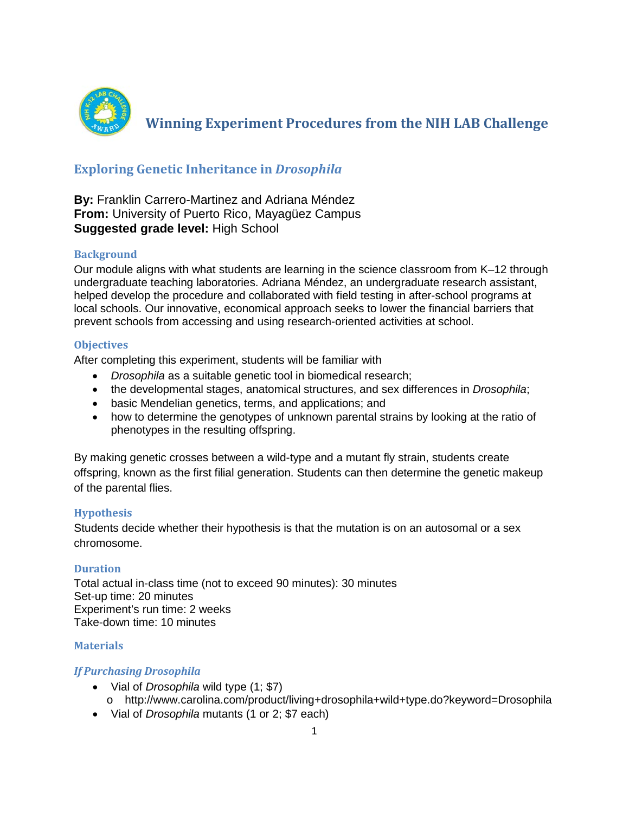

**Winning Experiment Procedures from the NIH LAB Challenge** 

# **Exploring Genetic Inheritance in** *Drosophila*

## **By:** Franklin Carrero-Martinez and Adriana Méndez **From:** University of Puerto Rico, Mayagüez Campus **Suggested grade level:** High School

### **Background**

Our module aligns with what students are learning in the science classroom from K–12 through undergraduate teaching laboratories. Adriana Méndez, an undergraduate research assistant, helped develop the procedure and collaborated with field testing in after-school programs at local schools. Our innovative, economical approach seeks to lower the financial barriers that prevent schools from accessing and using research-oriented activities at school.

### **Objectives**

After completing this experiment, students will be familiar with

- *Drosophila* as a suitable genetic tool in biomedical research;
- the developmental stages, anatomical structures, and sex differences in *Drosophila*;
- basic Mendelian genetics, terms, and applications; and
- how to determine the genotypes of unknown parental strains by looking at the ratio of phenotypes in the resulting offspring.

By making genetic crosses between a wild-type and a mutant fly strain, students create offspring, known as the first filial generation. Students can then determine the genetic makeup of the parental flies.

### **Hypothesis**

Students decide whether their hypothesis is that the mutation is on an autosomal or a sex chromosome.

### **Duration**

Total actual in-class time (not to exceed 90 minutes): 30 minutes Set-up time: 20 minutes Experiment's run time: 2 weeks Take-down time: 10 minutes

### **Materials**

### *If Purchasing Drosophila*

- Vial of *Drosophila* wild type (1; \$7)
	- o http://www.carolina.com/product/living+drosophila+wild+type.do?keyword=Drosophila
- Vial of *Drosophila* mutants (1 or 2; \$7 each)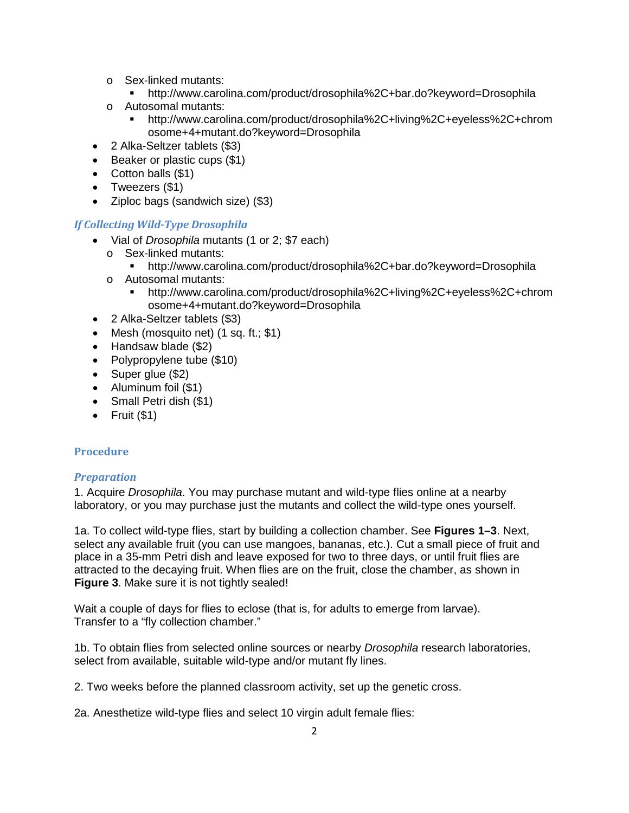- o Sex-linked mutants:<br>http://www.caro
	- http://www.carolina.com/product/drosophila%2C+bar.do?keyword=Drosophila
- o Autosomal mutants:<br>http://www.carol
	- http://www.carolina.com/product/drosophila%2C+living%2C+eyeless%2C+chrom osome+4+mutant.do?keyword=Drosophila
- 2 Alka-Seltzer tablets (\$3)
- Beaker or plastic cups (\$1)
- Cotton balls (\$1)
- Tweezers (\$1)
- Ziploc bags (sandwich size) (\$3)

### *If Collecting Wild-Type Drosophila*

- Vial of *Drosophila* mutants (1 or 2; \$7 each)
	- o Sex-linked mutants:
		- http://www.carolina.com/product/drosophila%2C+bar.do?keyword=Drosophila
	- o Autosomal mutants:
		- http://www.carolina.com/product/drosophila%2C+living%2C+eyeless%2C+chrom osome+4+mutant.do?keyword=Drosophila
- 2 Alka-Seltzer tablets (\$3)
- Mesh (mosquito net) (1 sq. ft.; \$1)
- Handsaw blade (\$2)
- Polypropylene tube (\$10)
- Super glue (\$2)
- Aluminum foil (\$1)
- Small Petri dish (\$1)
- $\bullet$  Fruit (\$1)

#### **Procedure**

#### *Preparation*

1. Acquire *Drosophila*. You may purchase mutant and wild-type flies online at a nearby laboratory, or you may purchase just the mutants and collect the wild-type ones yourself.

1a. To collect wild-type flies, start by building a collection chamber. See **Figures 1–3**. Next, select any available fruit (you can use mangoes, bananas, etc.). Cut a small piece of fruit and place in a 35-mm Petri dish and leave exposed for two to three days, or until fruit flies are attracted to the decaying fruit. When flies are on the fruit, close the chamber, as shown in **Figure 3**. Make sure it is not tightly sealed!

Wait a couple of days for flies to eclose (that is, for adults to emerge from larvae). Transfer to a "fly collection chamber."

1b. To obtain flies from selected online sources or nearby *Drosophila* research laboratories, select from available, suitable wild-type and/or mutant fly lines.

2. Two weeks before the planned classroom activity, set up the genetic cross.

2a. Anesthetize wild-type flies and select 10 virgin adult female flies: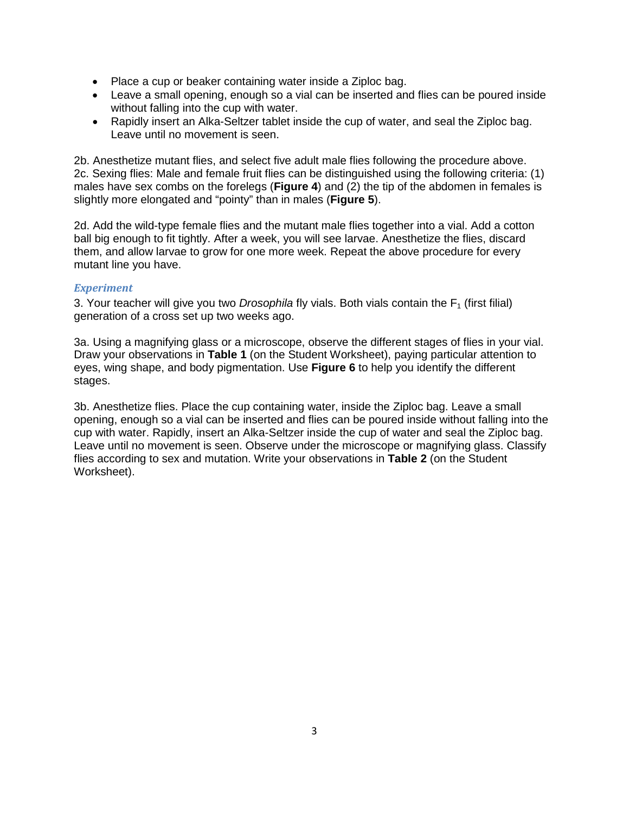- Place a cup or beaker containing water inside a Ziploc bag.
- Leave a small opening, enough so a vial can be inserted and flies can be poured inside without falling into the cup with water.
- Rapidly insert an Alka-Seltzer tablet inside the cup of water, and seal the Ziploc bag. Leave until no movement is seen.

2b. Anesthetize mutant flies, and select five adult male flies following the procedure above. 2c. Sexing flies: Male and female fruit flies can be distinguished using the following criteria: (1) males have sex combs on the forelegs (**Figure 4**) and (2) the tip of the abdomen in females is slightly more elongated and "pointy" than in males (**Figure 5**).

2d. Add the wild-type female flies and the mutant male flies together into a vial. Add a cotton ball big enough to fit tightly. After a week, you will see larvae. Anesthetize the flies, discard them, and allow larvae to grow for one more week. Repeat the above procedure for every mutant line you have.

### *Experiment*

3. Your teacher will give you two *Drosophila* fly vials. Both vials contain the  $F_1$  (first filial) generation of a cross set up two weeks ago.

3a. Using a magnifying glass or a microscope, observe the different stages of flies in your vial. Draw your observations in **Table 1** (on the Student Worksheet), paying particular attention to eyes, wing shape, and body pigmentation. Use **Figure 6** to help you identify the different stages.

3b. Anesthetize flies. Place the cup containing water, inside the Ziploc bag. Leave a small opening, enough so a vial can be inserted and flies can be poured inside without falling into the cup with water. Rapidly, insert an Alka-Seltzer inside the cup of water and seal the Ziploc bag. Leave until no movement is seen. Observe under the microscope or magnifying glass. Classify flies according to sex and mutation. Write your observations in **Table 2** (on the Student Worksheet).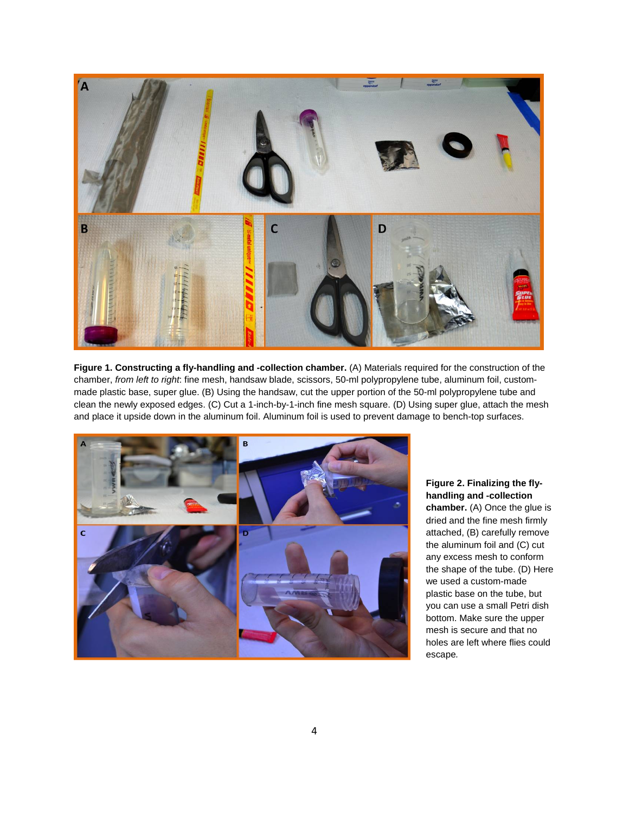

**Figure 1. Constructing a fly-handling and -collection chamber.** (A) Materials required for the construction of the chamber, *from left to right*: fine mesh, handsaw blade, scissors, 50-ml polypropylene tube, aluminum foil, custommade plastic base, super glue. (B) Using the handsaw, cut the upper portion of the 50-ml polypropylene tube and clean the newly exposed edges. (C) Cut a 1-inch-by-1-inch fine mesh square. (D) Using super glue, attach the mesh and place it upside down in the aluminum foil. Aluminum foil is used to prevent damage to bench-top surfaces.



**Figure 2. Finalizing the flyhandling and -collection chamber.** (A) Once the glue is dried and the fine mesh firmly attached, (B) carefully remove the aluminum foil and (C) cut any excess mesh to conform the shape of the tube. (D) Here we used a custom-made plastic base on the tube, but you can use a small Petri dish bottom. Make sure the upper mesh is secure and that no holes are left where flies could escape*.*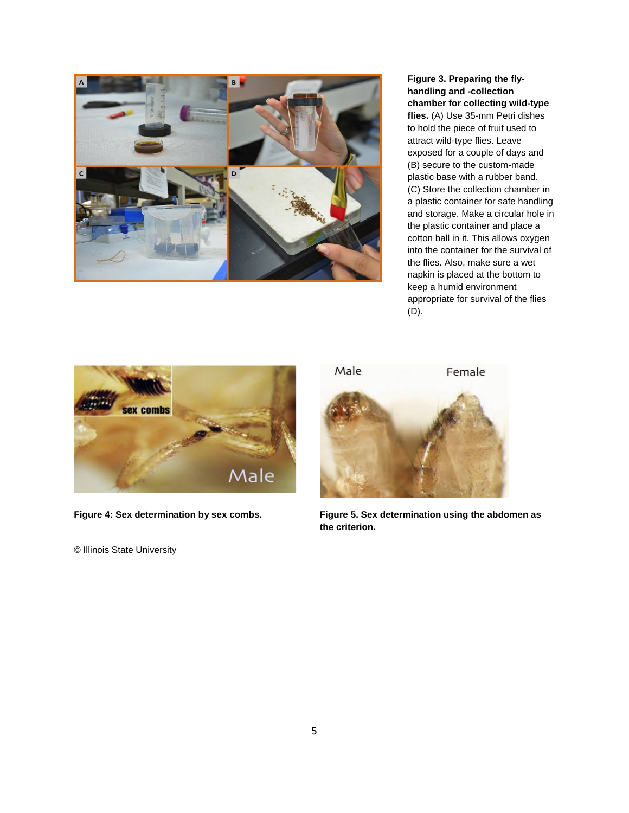

**Figure 3. Preparing the flyhandling and -collection chamber for collecting wild-type flies.** (A) Use 35-mm Petri dishes to hold the piece of fruit used to attract wild-type flies. Leave exposed for a couple of days and (B) secure to the custom-made plastic base with a rubber band. (C) Store the collection chamber in a plastic container for safe handling and storage. Make a circular hole in the plastic container and place a cotton ball in it. This allows oxygen into the container for the survival of the flies. Also, make sure a wet napkin is placed at the bottom to keep a humid environment appropriate for survival of the flies (D).



© Illinois State University



**Figure 4: Sex determination by sex combs. Figure 5. Sex determination using the abdomen as the criterion.**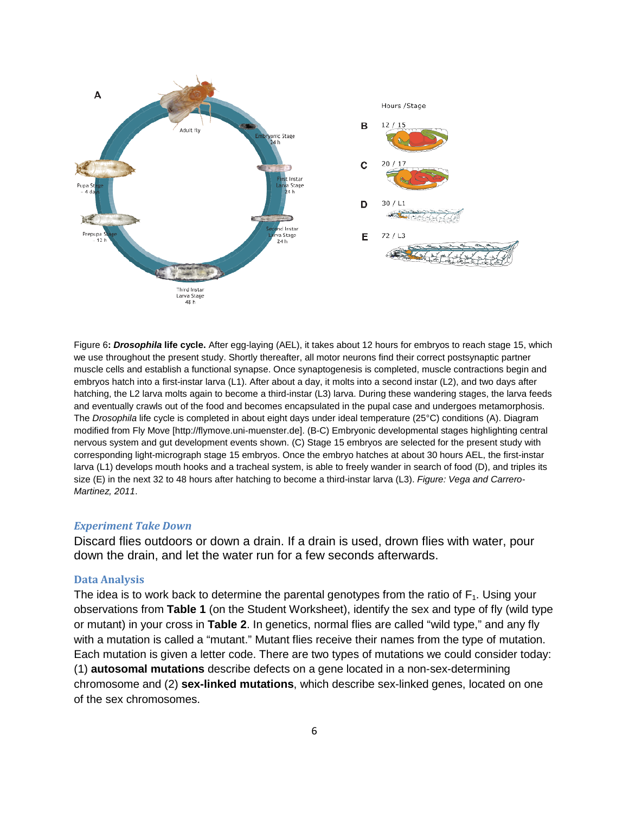

Figure 6**:** *Drosophila* **life cycle.** After egg-laying (AEL), it takes about 12 hours for embryos to reach stage 15, which we use throughout the present study. Shortly thereafter, all motor neurons find their correct postsynaptic partner muscle cells and establish a functional synapse. Once synaptogenesis is completed, muscle contractions begin and embryos hatch into a first-instar larva (L1). After about a day, it molts into a second instar (L2), and two days after hatching, the L2 larva molts again to become a third-instar (L3) larva. During these wandering stages, the larva feeds and eventually crawls out of the food and becomes encapsulated in the pupal case and undergoes metamorphosis. The *Drosophila* life cycle is completed in about eight days under ideal temperature (25°C) conditions (A). Diagram modified from Fly Move [http://flymove.uni-muenster.de]. (B-C) Embryonic developmental stages highlighting central nervous system and gut development events shown. (C) Stage 15 embryos are selected for the present study with corresponding light-micrograph stage 15 embryos. Once the embryo hatches at about 30 hours AEL, the first-instar larva (L1) develops mouth hooks and a tracheal system, is able to freely wander in search of food (D), and triples its size (E) in the next 32 to 48 hours after hatching to become a third-instar larva (L3). *Figure: Vega and Carrero-Martinez, 2011*.

#### *Experiment Take Down*

Discard flies outdoors or down a drain. If a drain is used, drown flies with water, pour down the drain, and let the water run for a few seconds afterwards.

#### **Data Analysis**

The idea is to work back to determine the parental genotypes from the ratio of  $F_1$ . Using your observations from **Table 1** (on the Student Worksheet), identify the sex and type of fly (wild type or mutant) in your cross in **Table 2**. In genetics, normal flies are called "wild type," and any fly with a mutation is called a "mutant." Mutant flies receive their names from the type of mutation. Each mutation is given a letter code. There are two types of mutations we could consider today: (1) **autosomal mutations** describe defects on a gene located in a non-sex-determining chromosome and (2) **sex-linked mutations**, which describe sex-linked genes, located on one of the sex chromosomes.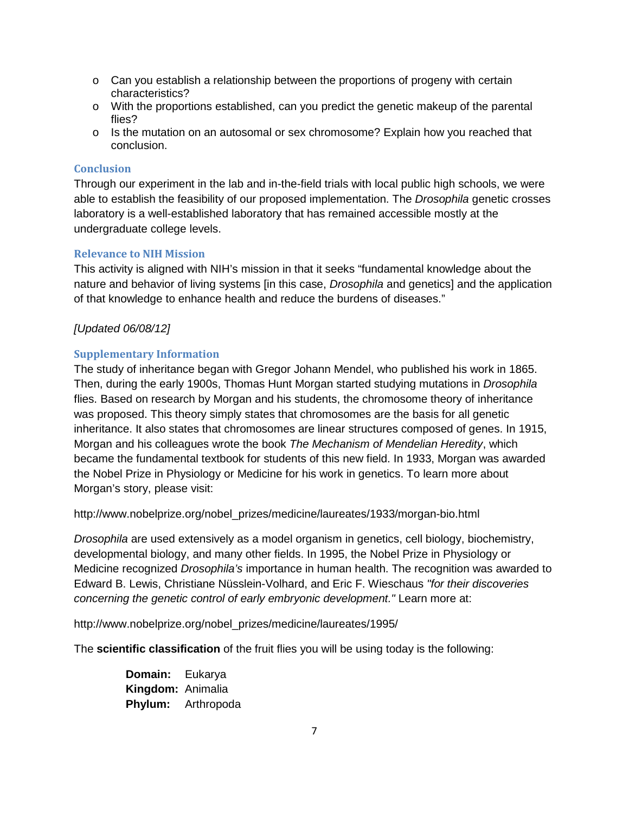- $\circ$  Can you establish a relationship between the proportions of progeny with certain characteristics?
- o With the proportions established, can you predict the genetic makeup of the parental flies?
- $\circ$  Is the mutation on an autosomal or sex chromosome? Explain how you reached that conclusion.

### **Conclusion**

Through our experiment in the lab and in-the-field trials with local public high schools, we were able to establish the feasibility of our proposed implementation. The *Drosophila* genetic crosses laboratory is a well-established laboratory that has remained accessible mostly at the undergraduate college levels.

### **Relevance to NIH Mission**

This activity is aligned with NIH's mission in that it seeks "fundamental knowledge about the nature and behavior of living systems [in this case, *Drosophila* and genetics] and the application of that knowledge to enhance health and reduce the burdens of diseases."

### *[Updated 06/08/12]*

### **Supplementary Information**

The study of inheritance began with Gregor Johann Mendel, who published his work in 1865. Then, during the early 1900s, Thomas Hunt Morgan started studying mutations in *Drosophila* flies. Based on research by Morgan and his students, the chromosome theory of inheritance was proposed. This theory simply states that chromosomes are the basis for all genetic inheritance. It also states that chromosomes are linear structures composed of genes. In 1915, Morgan and his colleagues wrote the book *The Mechanism of Mendelian Heredity*, which became the fundamental textbook for students of this new field. In 1933, Morgan was awarded the Nobel Prize in Physiology or Medicine for his work in genetics. To learn more about Morgan's story, please visit:

http://www.nobelprize.org/nobel\_prizes/medicine/laureates/1933/morgan-bio.html

*Drosophila* are used extensively as a model organism in genetics, cell biology, biochemistry, developmental biology, and many other fields. In 1995, the Nobel Prize in Physiology or Medicine recognized *Drosophila's* importance in human health. The recognition was awarded to Edward B. Lewis, Christiane Nüsslein-Volhard, and Eric F. Wieschaus *"for their discoveries concerning the genetic control of early embryonic development."* Learn more at:

http://www.nobelprize.org/nobel\_prizes/medicine/laureates/1995/

The **scientific classification** of the fruit flies you will be using today is the following:

**Domain:** Eukarya **Kingdom:** Animalia **Phylum:** Arthropoda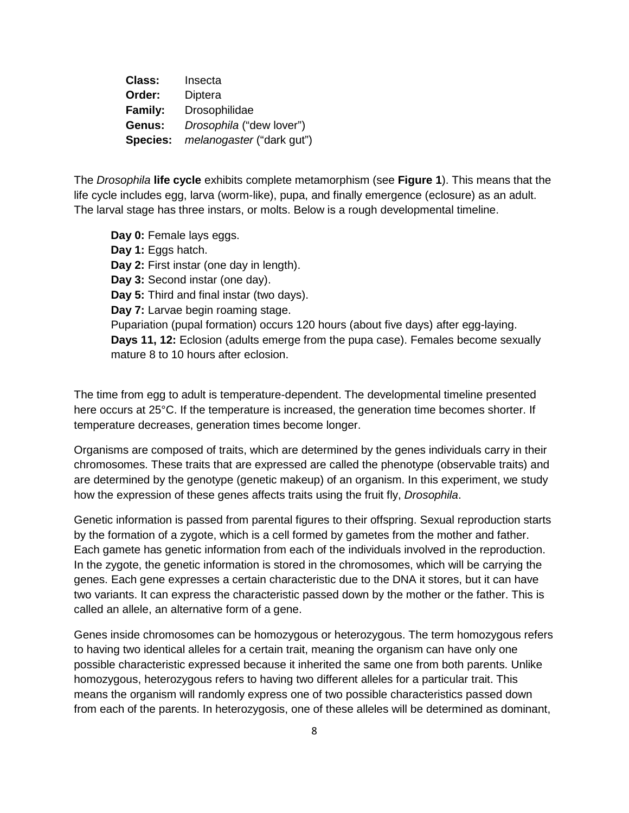**Class:** Insecta **Order:** Diptera **Family:** Drosophilidae **Genus:** *Drosophila* ("dew lover") **Species:** *melanogaster* ("dark gut")

The *Drosophila* **life cycle** exhibits complete metamorphism (see **Figure 1**). This means that the life cycle includes egg, larva (worm-like), pupa, and finally emergence (eclosure) as an adult. The larval stage has three instars, or molts. Below is a rough developmental timeline.

**Day 0:** Female lays eggs. **Day 1:** Eggs hatch. **Day 2:** First instar (one day in length). **Day 3:** Second instar (one day). **Day 5:** Third and final instar (two days). **Day 7:** Larvae begin roaming stage. Pupariation (pupal formation) occurs 120 hours (about five days) after egg-laying. **Days 11, 12:** Eclosion (adults emerge from the pupa case). Females become sexually mature 8 to 10 hours after eclosion.

The time from egg to adult is temperature-dependent. The developmental timeline presented here occurs at 25°C. If the temperature is increased, the generation time becomes shorter. If temperature decreases, generation times become longer.

Organisms are composed of traits, which are determined by the genes individuals carry in their chromosomes. These traits that are expressed are called the phenotype (observable traits) and are determined by the genotype (genetic makeup) of an organism. In this experiment, we study how the expression of these genes affects traits using the fruit fly, *Drosophila*.

Genetic information is passed from parental figures to their offspring. Sexual reproduction starts by the formation of a zygote, which is a cell formed by gametes from the mother and father. Each gamete has genetic information from each of the individuals involved in the reproduction. In the zygote, the genetic information is stored in the chromosomes, which will be carrying the genes. Each gene expresses a certain characteristic due to the DNA it stores, but it can have two variants. It can express the characteristic passed down by the mother or the father. This is called an allele, an alternative form of a gene.

Genes inside chromosomes can be homozygous or heterozygous. The term homozygous refers to having two identical alleles for a certain trait, meaning the organism can have only one possible characteristic expressed because it inherited the same one from both parents. Unlike homozygous, heterozygous refers to having two different alleles for a particular trait. This means the organism will randomly express one of two possible characteristics passed down from each of the parents. In heterozygosis, one of these alleles will be determined as dominant,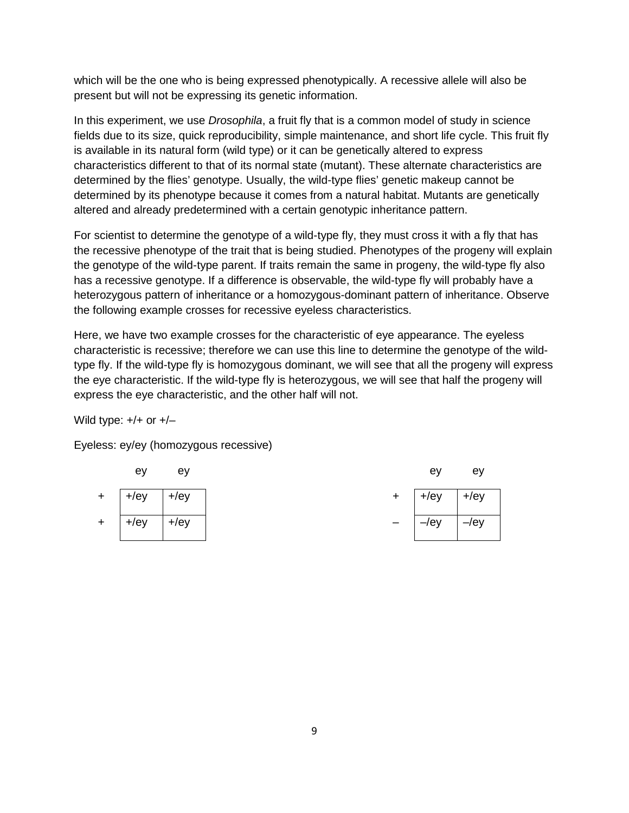which will be the one who is being expressed phenotypically. A recessive allele will also be present but will not be expressing its genetic information.

In this experiment, we use *Drosophila*, a fruit fly that is a common model of study in science fields due to its size, quick reproducibility, simple maintenance, and short life cycle. This fruit fly is available in its natural form (wild type) or it can be genetically altered to express characteristics different to that of its normal state (mutant). These alternate characteristics are determined by the flies' genotype. Usually, the wild-type flies' genetic makeup cannot be determined by its phenotype because it comes from a natural habitat. Mutants are genetically altered and already predetermined with a certain genotypic inheritance pattern.

For scientist to determine the genotype of a wild-type fly, they must cross it with a fly that has the recessive phenotype of the trait that is being studied. Phenotypes of the progeny will explain the genotype of the wild-type parent. If traits remain the same in progeny, the wild-type fly also has a recessive genotype. If a difference is observable, the wild-type fly will probably have a heterozygous pattern of inheritance or a homozygous-dominant pattern of inheritance. Observe the following example crosses for recessive eyeless characteristics.

Here, we have two example crosses for the characteristic of eye appearance. The eyeless characteristic is recessive; therefore we can use this line to determine the genotype of the wildtype fly. If the wild-type fly is homozygous dominant, we will see that all the progeny will express the eye characteristic. If the wild-type fly is heterozygous, we will see that half the progeny will express the eye characteristic, and the other half will not.

Wild type:  $+/+$  or  $+/-$ 

Eyeless: ey/ey (homozygous recessive)